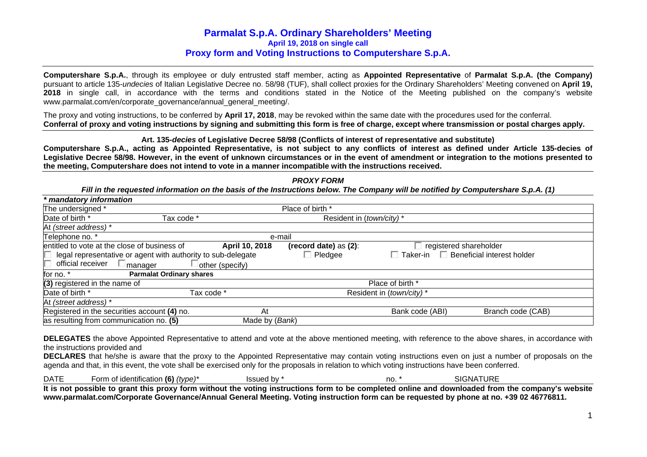**Computershare S.p.A.**, through its employee or duly entrusted staff member, acting as **Appointed Representative** of **Parmalat S.p.A. (the Company)** pursuant to article 135-*undecies* of Italian Legislative Decree no. 58/98 (TUF), shall collect proxies for the Ordinary Shareholders' Meeting convened on **April 19, 2018** in single call, in accordance with the terms and conditions stated in the Notice of the Meeting published on the company's website www.parmalat.com/en/corporate\_governance/annual\_general\_meeting/.

The proxy and voting instructions, to be conferred by **April 17, 2018**, may be revoked within the same date with the procedures used for the conferral. **Conferral of proxy and voting instructions by signing and submitting this form is free of charge, except where transmission or postal charges apply.**

**Art. 135-***decies* **of Legislative Decree 58/98 (Conflicts of interest of representative and substitute)** 

**Computershare S.p.A., acting as Appointed Representative, is not subject to any conflicts of interest as defined under Article 135-decies of Legislative Decree 58/98. However, in the event of unknown circumstances or in the event of amendment or integration to the motions presented to the meeting, Computershare does not intend to vote in a manner incompatible with the instructions received.** 

## *PROXY FORM*

*Fill in the requested information on the basis of the Instructions below. The Company will be notified by Computershare S.p.A. (1)* 

| * mandatory information                                      |                 |                          |                                   |                                   |
|--------------------------------------------------------------|-----------------|--------------------------|-----------------------------------|-----------------------------------|
| The undersigned *                                            |                 | Place of birth *         |                                   |                                   |
| Date of birth *<br>Tax code *                                |                 | Resident in (town/city)* |                                   |                                   |
| At (street address) *                                        |                 |                          |                                   |                                   |
| Telephone no. *                                              | e-mail          |                          |                                   |                                   |
| entitled to vote at the close of business of                 | April 10, 2018  | (record date) as (2):    |                                   | registered shareholder            |
| legal representative or agent with authority to sub-delegate |                 | $\Box$ Pledgee           | $\overline{\phantom{x}}$ Taker-in | $\Box$ Beneficial interest holder |
| official receiver<br>$\Box$ manager                          | other (specify) |                          |                                   |                                   |
| <b>Parmalat Ordinary shares</b><br>for no. *                 |                 |                          |                                   |                                   |
| (3) registered in the name of                                |                 |                          | Place of birth *                  |                                   |
| Date of birth *                                              | Tax code *      |                          | Resident in (town/city)*          |                                   |
| At (street address) *                                        |                 |                          |                                   |                                   |
| Registered in the securities account (4) no.                 | At              |                          | Bank code (ABI)                   | Branch code (CAB)                 |
| as resulting from communication no. (5)                      | Made by (Bank)  |                          |                                   |                                   |

**DELEGATES** the above Appointed Representative to attend and vote at the above mentioned meeting, with reference to the above shares, in accordance with the instructions provided and

**DECLARES** that he/she is aware that the proxy to the Appointed Representative may contain voting instructions even on just a number of proposals on the agenda and that, in this event, the vote shall be exercised only for the proposals in relation to which voting instructions have been conferred.

| <b>DATE</b> | Form of identification (6) $(type)^*$                                                                                                             | Issued by * | no. * | <b>SIGNATURE</b> |  |
|-------------|---------------------------------------------------------------------------------------------------------------------------------------------------|-------------|-------|------------------|--|
|             | It is not possible to grant this proxy form without the voting instructions form to be completed online and downloaded from the company's website |             |       |                  |  |
|             | www.parmalat.com/Corporate Governance/Annual General Meeting. Voting instruction form can be requested by phone at no. +39 02 46776811.           |             |       |                  |  |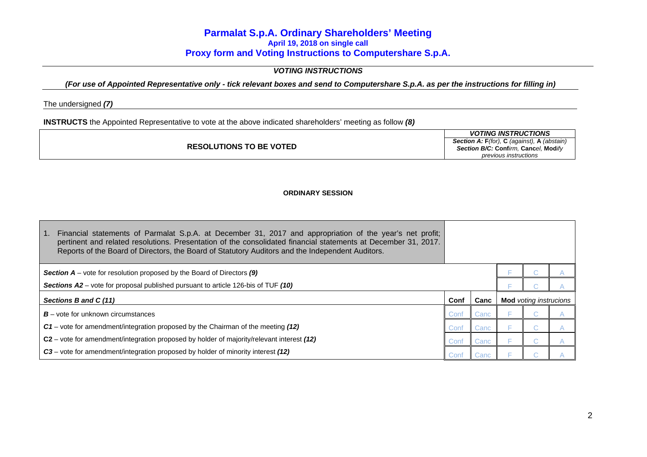## *VOTING INSTRUCTIONS*

*(For use of Appointed Representative only - tick relevant boxes and send to Computershare S.p.A. as per the instructions for filling in)* 

The undersigned *(7)*

**INSTRUCTS** the Appointed Representative to vote at the above indicated shareholders' meeting as follow *(8)*

|                                | <b>VOTING INSTRUCTIONS</b>                          |
|--------------------------------|-----------------------------------------------------|
|                                | <b>Section A: F</b> (for), C (against), A (abstain) |
| <b>RESOLUTIONS TO BE VOTED</b> | Section B/C: Confirm. Cancel. Modify                |
|                                | previous instructions                               |

## **ORDINARY SESSION**

| Financial statements of Parmalat S.p.A. at December 31, 2017 and appropriation of the year's net profit;<br>pertinent and related resolutions. Presentation of the consolidated financial statements at December 31, 2017.<br>Reports of the Board of Directors, the Board of Statutory Auditors and the Independent Auditors. |      |      |                               |  |
|--------------------------------------------------------------------------------------------------------------------------------------------------------------------------------------------------------------------------------------------------------------------------------------------------------------------------------|------|------|-------------------------------|--|
| <b>Section A</b> – vote for resolution proposed by the Board of Directors $(9)$                                                                                                                                                                                                                                                |      |      |                               |  |
| Sections A2 – vote for proposal published pursuant to article 126-bis of TUF (10)                                                                                                                                                                                                                                              |      |      |                               |  |
| Sections B and C (11)                                                                                                                                                                                                                                                                                                          | Conf | Canc | <b>Mod</b> voting instrucions |  |
| $B$ – vote for unknown circumstances                                                                                                                                                                                                                                                                                           | Conf | Canc |                               |  |
| $C1$ – vote for amendment/integration proposed by the Chairman of the meeting (12)                                                                                                                                                                                                                                             | Conf | Canc |                               |  |
| C2 – vote for amendment/integration proposed by holder of majority/relevant interest (12)                                                                                                                                                                                                                                      | Conf | Canc |                               |  |
| C3 – vote for amendment/integration proposed by holder of minority interest (12)                                                                                                                                                                                                                                               | Conf | Canc |                               |  |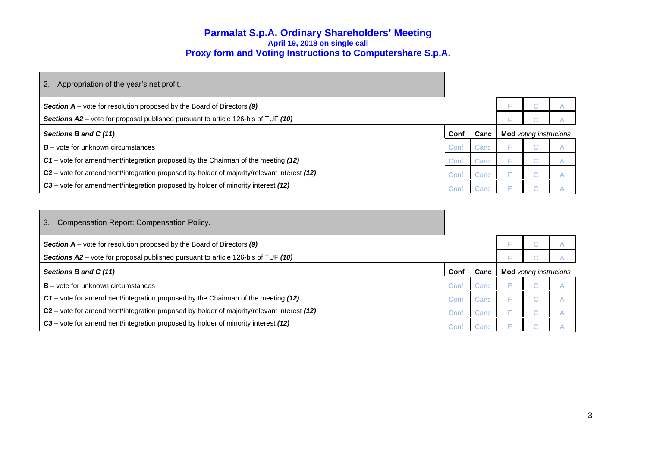| 2.<br>Appropriation of the year's net profit.                                              |      |      |  |                               |  |
|--------------------------------------------------------------------------------------------|------|------|--|-------------------------------|--|
| <b>Section <math>A</math></b> – vote for resolution proposed by the Board of Directors (9) |      |      |  |                               |  |
| <b>Sections A2</b> – vote for proposal published pursuant to article 126-bis of TUF (10)   |      |      |  |                               |  |
| Sections B and C (11)                                                                      | Conf | Canc |  | <b>Mod</b> voting instrucions |  |
| $B$ – vote for unknown circumstances                                                       | Conf | Canc |  |                               |  |
| C1 – vote for amendment/integration proposed by the Chairman of the meeting (12)           | Conf | Canc |  |                               |  |
| C2 - vote for amendment/integration proposed by holder of majority/relevant interest (12)  | Conf | Canc |  |                               |  |
| C3 - vote for amendment/integration proposed by holder of minority interest (12)           | Cont | anc: |  |                               |  |

| Compensation Report: Compensation Policy.<br>3.                                           |      |      |                               |  |  |
|-------------------------------------------------------------------------------------------|------|------|-------------------------------|--|--|
| <b>Section A</b> – vote for resolution proposed by the Board of Directors $(9)$           |      |      |                               |  |  |
| Sections A2 – vote for proposal published pursuant to article 126-bis of TUF (10)         |      |      |                               |  |  |
| Sections B and C (11)                                                                     | Conf | Canc | <b>Mod</b> voting instrucions |  |  |
| $B$ – vote for unknown circumstances                                                      | Conf | Canc |                               |  |  |
| C1 – vote for amendment/integration proposed by the Chairman of the meeting (12)          | Conf | Canc |                               |  |  |
| C2 - vote for amendment/integration proposed by holder of majority/relevant interest (12) | Conf | Canc |                               |  |  |
| C3 – vote for amendment/integration proposed by holder of minority interest (12)          | Conf | Canc |                               |  |  |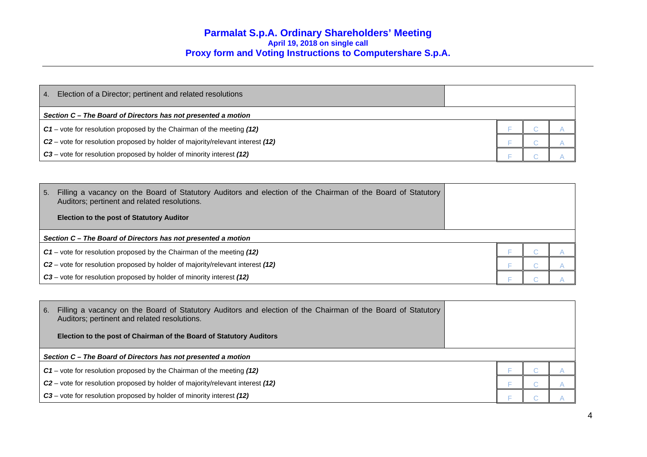| Election of a Director; pertinent and related resolutions<br>$\binom{4}{3}$                |  |  |  |  |
|--------------------------------------------------------------------------------------------|--|--|--|--|
| Section C – The Board of Directors has not presented a motion                              |  |  |  |  |
| $C1$ – vote for resolution proposed by the Chairman of the meeting (12)                    |  |  |  |  |
| C <sub>2</sub> – vote for resolution proposed by holder of majority/relevant interest (12) |  |  |  |  |
| C3 – vote for resolution proposed by holder of minority interest (12)                      |  |  |  |  |

| 5. | Filling a vacancy on the Board of Statutory Auditors and election of the Chairman of the Board of Statutory<br>Auditors; pertinent and related resolutions. |  |  |
|----|-------------------------------------------------------------------------------------------------------------------------------------------------------------|--|--|
|    | <b>Election to the post of Statutory Auditor</b>                                                                                                            |  |  |
|    | Section C – The Board of Directors has not presented a motion                                                                                               |  |  |
|    | $C1$ – vote for resolution proposed by the Chairman of the meeting (12)                                                                                     |  |  |
|    | $C2$ – vote for resolution proposed by holder of majority/relevant interest (12)                                                                            |  |  |
|    | C3 – vote for resolution proposed by holder of minority interest (12)                                                                                       |  |  |

| 6. | Filling a vacancy on the Board of Statutory Auditors and election of the Chairman of the Board of Statutory<br>Auditors; pertinent and related resolutions.<br><b>Election to the post of Chairman of the Board of Statutory Auditors</b> |  |  |
|----|-------------------------------------------------------------------------------------------------------------------------------------------------------------------------------------------------------------------------------------------|--|--|
|    | Section C – The Board of Directors has not presented a motion                                                                                                                                                                             |  |  |
|    | $C1$ – vote for resolution proposed by the Chairman of the meeting $(12)$                                                                                                                                                                 |  |  |
|    | C2 - vote for resolution proposed by holder of majority/relevant interest (12)                                                                                                                                                            |  |  |
|    | C3 – vote for resolution proposed by holder of minority interest (12)                                                                                                                                                                     |  |  |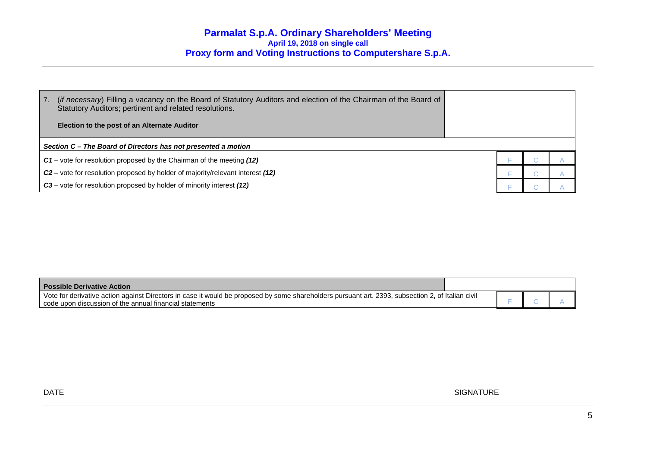| $\overline{7}$ . | (if necessary) Filling a vacancy on the Board of Statutory Auditors and election of the Chairman of the Board of<br>Statutory Auditors; pertinent and related resolutions.<br>Election to the post of an Alternate Auditor |  |  |  |  |
|------------------|----------------------------------------------------------------------------------------------------------------------------------------------------------------------------------------------------------------------------|--|--|--|--|
|                  | Section C – The Board of Directors has not presented a motion                                                                                                                                                              |  |  |  |  |
|                  |                                                                                                                                                                                                                            |  |  |  |  |
|                  | $C1$ – vote for resolution proposed by the Chairman of the meeting (12)                                                                                                                                                    |  |  |  |  |
|                  | C <sub>2</sub> – vote for resolution proposed by holder of majority/relevant interest (12)                                                                                                                                 |  |  |  |  |
|                  | C3 – vote for resolution proposed by holder of minority interest (12)                                                                                                                                                      |  |  |  |  |

| <b>Possible Derivative Action</b>                                                                                                                 |  |  |
|---------------------------------------------------------------------------------------------------------------------------------------------------|--|--|
| Vote for derivative action against Directors in case it would be proposed by some shareholders pursuant art. 2393, subsection 2, of Italian civil |  |  |
| code upon discussion of the annual financial statements                                                                                           |  |  |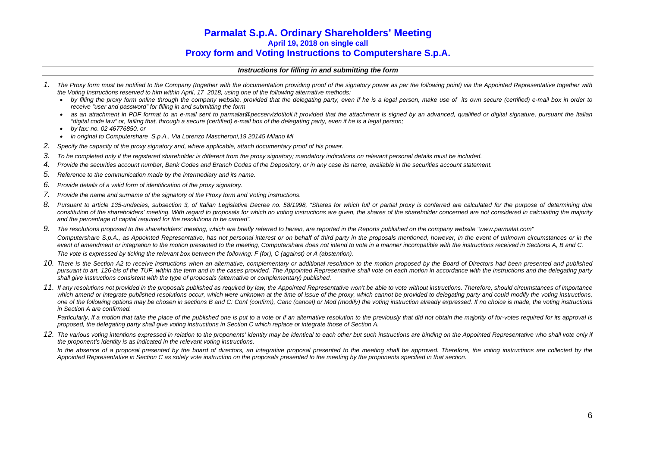## *Instructions for filling in and submitting the form*

- *1. The Proxy form must be notified to the Company (together with the documentation providing proof of the signatory power as per the following point) via the Appointed Representative together with the Voting Instructions reserved to him within April, 17 2018, using one of the following alternative methods:* 
	- *by filling the proxy form online through the company website, provided that the delegating party, even if he is a legal person, make use of its own secure (certified) e-mail box in order to receive "user and password" for filling in and submitting the form*
	- *as an attachment in PDF format to an e-mail sent to parmalat@pecserviziotitoli.it provided that the attachment is signed by an advanced, qualified or digital signature, pursuant the Italian "digital code law" or, failing that, through a secure (certified) e-mail box of the delegating party, even if he is a legal person;*
	- e *by fax: no. 02 46776850, or*
	- $\bullet$ *in original to Computershare S.p.A., Via Lorenzo Mascheroni,19 20145 Milano MI*
- *2. Specify the capacity of the proxy signatory and, where applicable, attach documentary proof of his power.*
- *3. To be completed only if the registered shareholder is different from the proxy signatory; mandatory indications on relevant personal details must be included.*
- *4. Provide the securities account number, Bank Codes and Branch Codes of the Depository, or in any case its name, available in the securities account statement.*
- *5. Reference to the communication made by the intermediary and its name.*
- *6. Provide details of a valid form of identification of the proxy signatory.*
- *7. Provide the name and surname of the signatory of the Proxy form and Voting instructions.*
- *8. Pursuant to article 135-undecies, subsection 3, of Italian Legislative Decree no. 58/1998, "Shares for which full or partial proxy is conferred are calculated for the purpose of determining due*  constitution of the shareholders' meeting. With regard to proposals for which no voting instructions are given, the shares of the shareholder concerned are not considered in calculating the majority *and the percentage of capital required for the resolutions to be carried".*
- *9. The resolutions proposed to the shareholders' meeting, which are briefly referred to herein, are reported in the Reports published on the company website "www.parmalat.com"*  Computershare S.p.A., as Appointed Representative, has not personal interest or on behalf of third party in the proposals mentioned, however, in the event of unknown circumstances or in the event of amendment or integration to the motion presented to the meeting, Computershare does not intend to vote in a manner incompatible with the instructions received in Sections A, B and C. *The vote is expressed by ticking the relevant box between the following: F (for), C (against) or A (abstention).*
- *10. There is the Section A2 to receive instructions when an alternative, complementary or additional resolution to the motion proposed by the Board of Directors had been presented and published pursuant to art. 126-bis of the TUF, within the term and in the cases provided. The Appointed Representative shall vote on each motion in accordance with the instructions and the delegating party shall give instructions consistent with the type of proposals (alternative or complementary) published.*
- *11. If any resolutions not provided in the proposals published as required by law, the Appointed Representative won't be able to vote without instructions. Therefore, should circumstances of importance*  which amend or integrate published resolutions occur, which were unknown at the time of issue of the proxy, which cannot be provided to delegating party and could modify the voting instructions, one of the following options may be chosen in sections B and C: Conf (confirm), Canc (cancel) or Mod (modify) the voting instruction already expressed. If no choice is made, the voting instructions *in Section A are confirmed.*

Particularly, if a motion that take the place of the published one is put to a vote or if an alternative resolution to the previously that did not obtain the majority of for-votes required for its approval is *proposed, the delegating party shall give voting instructions in Section C which replace or integrate those of Section A.* 

12. The various voting intentions expressed in relation to the proponents' identity may be identical to each other but such instructions are binding on the Appointed Representative who shall vote only if *the proponent's identity is as indicated in the relevant voting instructions.* 

In the absence of a proposal presented by the board of directors, an integrative proposal presented to the meeting shall be approved. Therefore, the voting instructions are collected by the *Appointed Representative in Section C as solely vote instruction on the proposals presented to the meeting by the proponents specified in that section.*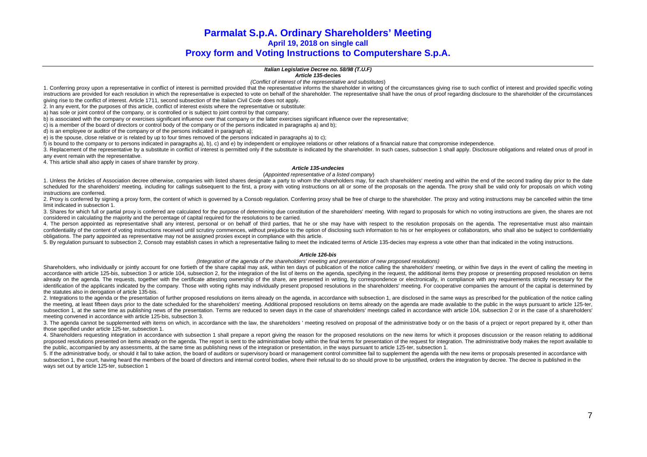### *Italian Legislative Decree no. 58/98 (T.U.F)*

#### *Article 135-***decies**

*(Conflict of interest of the representative and substitutes*)

1. Conferring proxy upon a representative in conflict of interest is permitted provided that the representative informs the shareholder in writing of the circumstances giving rise to such conflict of interest and provided instructions are provided for each resolution in which the representative is expected to vote on behalf of the shareholder. The representative shall have the onus of proof regarding disclosure to the shareholder of the cir giving rise to the conflict of interest. Article 1711, second subsection of the Italian Civil Code does not apply.

2. In any event, for the purposes of this article, conflict of interest exists where the representative or substitute:

a) has sole or joint control of the company, or is controlled or is subject to joint control by that company;

b) is associated with the company or exercises significant influence over that company or the latter exercises significant influence over the representative;

c) is a member of the board of directors or control body of the company or of the persons indicated in paragraphs a) and b);

d) is an employee or auditor of the company or of the persons indicated in paragraph a);

e) is the spouse, close relative or is related by up to four times removed of the persons indicated in paragraphs a) to c);

f) is bound to the company or to persons indicated in paragraphs a), b), c) and e) by independent or employee relations or other relations of a financial nature that compromise independence.

3. Replacement of the representative by a substitute in conflict of interest is permitted only if the substitute is indicated by the shareholder. In such cases, subsection 1 shall apply. Disclosure obligations and related any event remain with the representative.

4. This article shall also apply in cases of share transfer by proxy.

#### *Article 135-undecies*

#### (*Appointed representative of a listed company*)

1. Unless the Articles of Association decree otherwise, companies with listed shares designate a party to whom the shareholders may, for each shareholders' meeting and within the end of the second trading day prior to the scheduled for the shareholders' meeting, including for callings subsequent to the first, a proxy with voting instructions on all or some of the proposals on the agenda. The proxy shall be valid only for proposals on which instructions are conferred.

2. Proxy is conferred by signing a proxy form, the content of which is governed by a Consob regulation. Conferring proxy shall be free of charge to the shareholder. The proxy and voting instructions may be cancelled within limit indicated in subsection 1.

3. Shares for which full or partial proxy is conferred are calculated for the purpose of determining due constitution of the shareholders' meeting. With regard to proposals for which no voting instructions are given, the s considered in calculating the majority and the percentage of capital required for the resolutions to be carried.

4. The person appointed as representative shall any interest, personal or on behalf of third parties, that he or she may have with respect to the resolution proposals on the agenda. The representative must also maintain confidentiality of the content of voting instructions received until scrutiny commences, without prejudice to the option of disclosing such information to his or her employees or collaborators, who shall also be subject to obligations. The party appointed as representative may not be assigned proxies except in compliance with this article.

5. By regulation pursuant to subsection 2, Consob may establish cases in which a representative failing to meet the indicated terms of Article 135-decies may express a vote other than that indicated in the voting instructi

#### *Article 126-bis*

#### *(Integration of the agenda of the shareholders' meeting and presentation of new proposed resolutions)*

Shareholders, who individually or jointly account for one fortieth of the share capital may ask, within ten days of publication of the notice calling the shareholders' meeting, or within five days in the event of calling t accordance with article 125-bis, subsection 3 or article 104, subsection 2, for the integration of the list of items on the agenda, specifying in the request, the additional items they propose or presenting proposed resolu already on the agenda. The requests, together with the certificate attesting ownership of the share, are presented in writing, by correspondence or electronically, in compliance with any requirements strictly necessary for identification of the applicants indicated by the company. Those with voting rights may individually present proposed resolutions in the shareholders' meeting. For cooperative companies the amount of the capital is determi the statutes also in derogation of article 135-bis.

2. Integrations to the agenda or the presentation of further proposed resolutions on items already on the agenda, in accordance with subsection 1, are disclosed in the same ways as prescribed for the publication of the not the meeting, at least fifteen days prior to the date scheduled for the shareholders' meeting. Additional proposed resolutions on items already on the agenda are made available to the public in the ways pursuant to article subsection 1, at the same time as publishing news of the presentation. Terms are reduced to seven days in the case of shareholders' meetings called in accordance with article 104, subsection 2 or in the case of a sharehold meeting convened in accordance with article 125-bis, subsection 3.

3. The agenda cannot be supplemented with items on which, in accordance with the law, the shareholders ' meeting resolved on proposal of the administrative body or on the basis of a project or report prepared by it, other those specified under article 125-ter, subsection 1.

4. Shareholders requesting integration in accordance with subsection 1 shall prepare a report giving the reason for the proposed resolutions on the new items for which it proposes discussion or the reason relating to addit proposed resolutions presented on items already on the agenda. The report is sent to the administrative body within the final terms for presentation of the request for integration. The administrative body makes the report the public, accompanied by any assessments, at the same time as publishing news of the integration or presentation, in the ways pursuant to article 125-ter, subsection 1.

5. If the administrative body, or should it fail to take action, the board of auditors or supervisory board or management control committee fail to supplement the agenda with the new items or proposals presented in accorda subsection 1, the court, having heard the members of the board of directors and internal control bodies, where their refusal to do so should prove to be uniustified, orders the integration by decree. The decree is publishe ways set out by article 125-ter, subsection 1